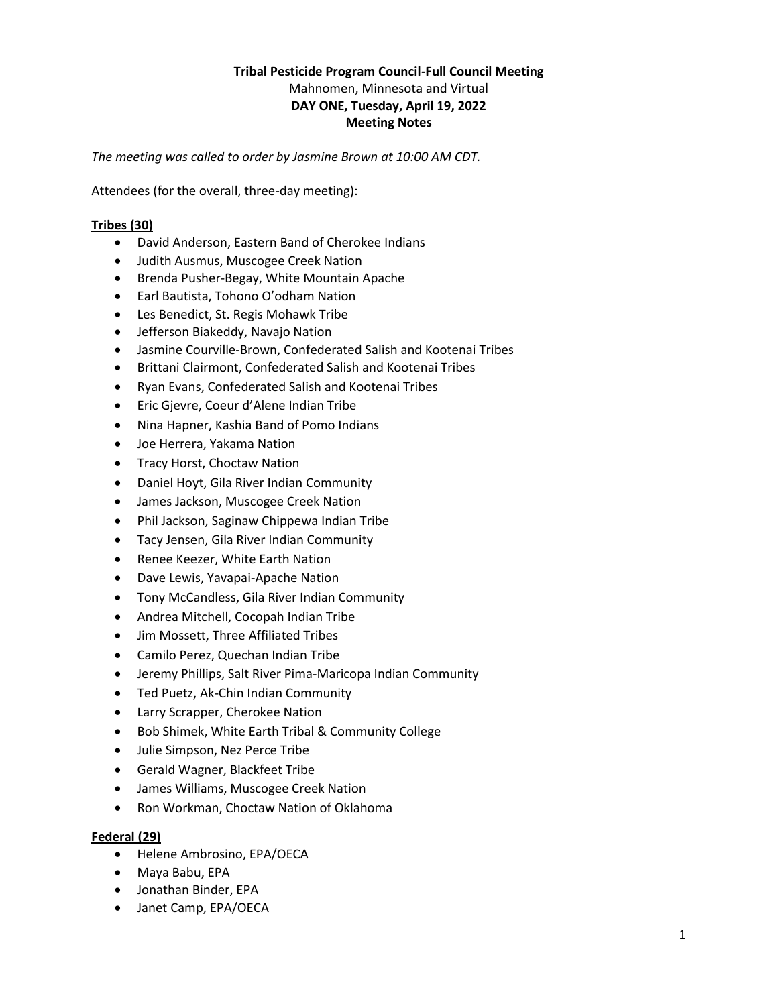# **Tribal Pesticide Program Council-Full Council Meeting** Mahnomen, Minnesota and Virtual **DAY ONE, Tuesday, April 19, 2022 Meeting Notes**

*The meeting was called to order by Jasmine Brown at 10:00 AM CDT.*

Attendees (for the overall, three-day meeting):

# **Tribes (30)**

- David Anderson, Eastern Band of Cherokee Indians
- Judith Ausmus, Muscogee Creek Nation
- Brenda Pusher-Begay, White Mountain Apache
- Earl Bautista, Tohono O'odham Nation
- Les Benedict, St. Regis Mohawk Tribe
- Jefferson Biakeddy, Navajo Nation
- Jasmine Courville-Brown, Confederated Salish and Kootenai Tribes
- Brittani Clairmont, Confederated Salish and Kootenai Tribes
- Ryan Evans, Confederated Salish and Kootenai Tribes
- Eric Gjevre, Coeur d'Alene Indian Tribe
- Nina Hapner, Kashia Band of Pomo Indians
- Joe Herrera, Yakama Nation
- Tracy Horst, Choctaw Nation
- Daniel Hoyt, Gila River Indian Community
- James Jackson, Muscogee Creek Nation
- Phil Jackson, Saginaw Chippewa Indian Tribe
- Tacy Jensen, Gila River Indian Community
- Renee Keezer, White Earth Nation
- Dave Lewis, Yavapai-Apache Nation
- Tony McCandless, Gila River Indian Community
- Andrea Mitchell, Cocopah Indian Tribe
- Jim Mossett, Three Affiliated Tribes
- Camilo Perez, Quechan Indian Tribe
- Jeremy Phillips, Salt River Pima-Maricopa Indian Community
- Ted Puetz, Ak-Chin Indian Community
- Larry Scrapper, Cherokee Nation
- Bob Shimek, White Earth Tribal & Community College
- Julie Simpson, Nez Perce Tribe
- Gerald Wagner, Blackfeet Tribe
- James Williams, Muscogee Creek Nation
- Ron Workman, Choctaw Nation of Oklahoma

## **Federal (29)**

- Helene Ambrosino, EPA/OECA
- Maya Babu, EPA
- Jonathan Binder, EPA
- Janet Camp, EPA/OECA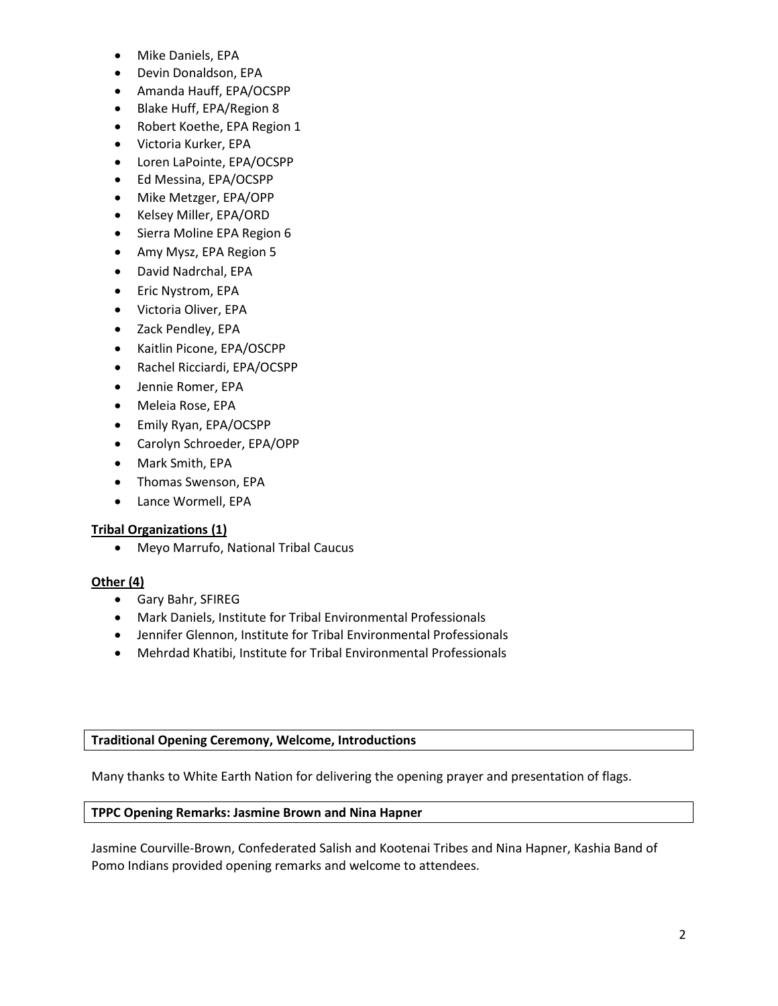- Mike Daniels, EPA
- Devin Donaldson, EPA
- Amanda Hauff, EPA/OCSPP
- Blake Huff, EPA/Region 8
- Robert Koethe, EPA Region 1
- Victoria Kurker, EPA
- Loren LaPointe, EPA/OCSPP
- Ed Messina, EPA/OCSPP
- Mike Metzger, EPA/OPP
- Kelsey Miller, EPA/ORD
- Sierra Moline EPA Region 6
- Amy Mysz, EPA Region 5
- David Nadrchal, EPA
- Eric Nystrom, EPA
- Victoria Oliver, EPA
- Zack Pendley, EPA
- Kaitlin Picone, EPA/OSCPP
- Rachel Ricciardi, EPA/OCSPP
- Jennie Romer, EPA
- Meleia Rose, EPA
- Emily Ryan, EPA/OCSPP
- Carolyn Schroeder, EPA/OPP
- Mark Smith, EPA
- Thomas Swenson, EPA
- Lance Wormell, EPA

## **Tribal Organizations (1)**

Meyo Marrufo, National Tribal Caucus

## **Other (4)**

- Gary Bahr, SFIREG
- Mark Daniels, Institute for Tribal Environmental Professionals
- Jennifer Glennon, Institute for Tribal Environmental Professionals
- Mehrdad Khatibi, Institute for Tribal Environmental Professionals

## **Traditional Opening Ceremony, Welcome, Introductions**

Many thanks to White Earth Nation for delivering the opening prayer and presentation of flags.

## **TPPC Opening Remarks: Jasmine Brown and Nina Hapner**

Jasmine Courville-Brown, Confederated Salish and Kootenai Tribes and Nina Hapner, Kashia Band of Pomo Indians provided opening remarks and welcome to attendees.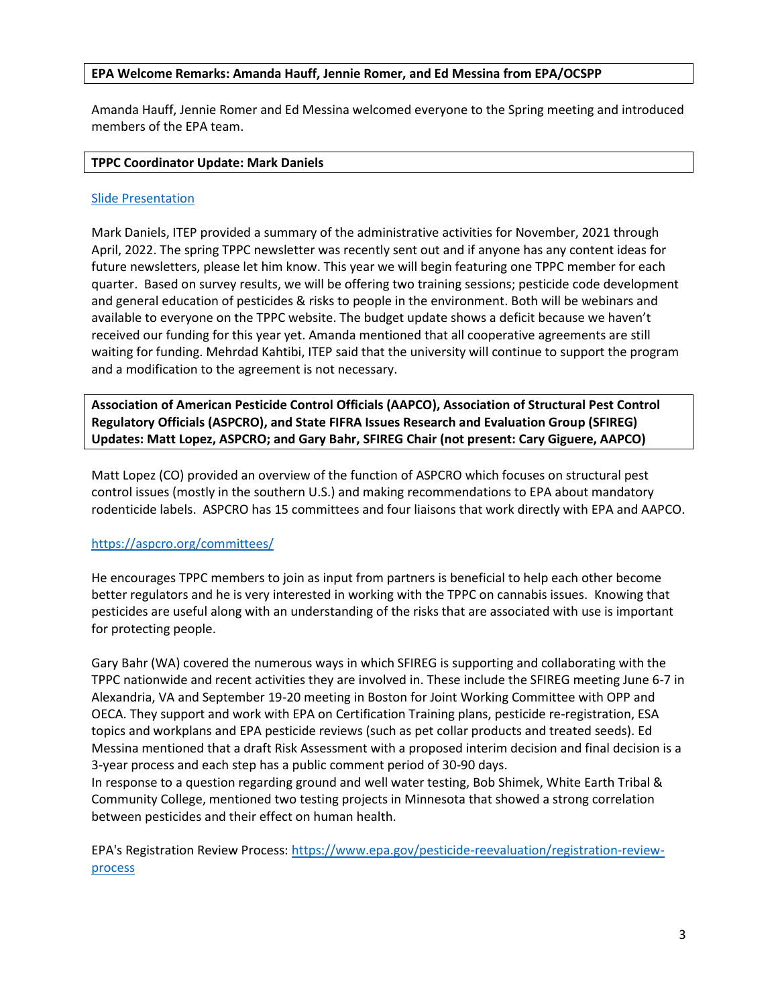## **EPA Welcome Remarks: Amanda Hauff, Jennie Romer, and Ed Messina from EPA/OCSPP**

Amanda Hauff, Jennie Romer and Ed Messina welcomed everyone to the Spring meeting and introduced members of the EPA team.

#### **TPPC Coordinator Update: Mark Daniels**

#### [Slide Presentation](https://tppcwebsite.org/wp-content/uploads/2022/04/ITEP-Report-Out_04.19.22.pdf)

Mark Daniels, ITEP provided a summary of the administrative activities for November, 2021 through April, 2022. The spring TPPC newsletter was recently sent out and if anyone has any content ideas for future newsletters, please let him know. This year we will begin featuring one TPPC member for each quarter. Based on survey results, we will be offering two training sessions; pesticide code development and general education of pesticides & risks to people in the environment. Both will be webinars and available to everyone on the TPPC website. The budget update shows a deficit because we haven't received our funding for this year yet. Amanda mentioned that all cooperative agreements are still waiting for funding. Mehrdad Kahtibi, ITEP said that the university will continue to support the program and a modification to the agreement is not necessary.

**Association of American Pesticide Control Officials (AAPCO), Association of Structural Pest Control Regulatory Officials (ASPCRO), and State FIFRA Issues Research and Evaluation Group (SFIREG) Updates: Matt Lopez, ASPCRO; and Gary Bahr, SFIREG Chair (not present: Cary Giguere, AAPCO)**

Matt Lopez (CO) provided an overview of the function of ASPCRO which focuses on structural pest control issues (mostly in the southern U.S.) and making recommendations to EPA about mandatory rodenticide labels. ASPCRO has 15 committees and four liaisons that work directly with EPA and AAPCO.

## <https://aspcro.org/committees/>

He encourages TPPC members to join as input from partners is beneficial to help each other become better regulators and he is very interested in working with the TPPC on cannabis issues. Knowing that pesticides are useful along with an understanding of the risks that are associated with use is important for protecting people.

Gary Bahr (WA) covered the numerous ways in which SFIREG is supporting and collaborating with the TPPC nationwide and recent activities they are involved in. These include the SFIREG meeting June 6-7 in Alexandria, VA and September 19-20 meeting in Boston for Joint Working Committee with OPP and OECA. They support and work with EPA on Certification Training plans, pesticide re-registration, ESA topics and workplans and EPA pesticide reviews (such as pet collar products and treated seeds). Ed Messina mentioned that a draft Risk Assessment with a proposed interim decision and final decision is a 3-year process and each step has a public comment period of 30-90 days.

In response to a question regarding ground and well water testing, Bob Shimek, White Earth Tribal & Community College, mentioned two testing projects in Minnesota that showed a strong correlation between pesticides and their effect on human health.

EPA's Registration Review Process: [https://www.epa.gov/pesticide-reevaluation/registration-review](https://www.epa.gov/pesticide-reevaluation/registration-review-process)[process](https://www.epa.gov/pesticide-reevaluation/registration-review-process)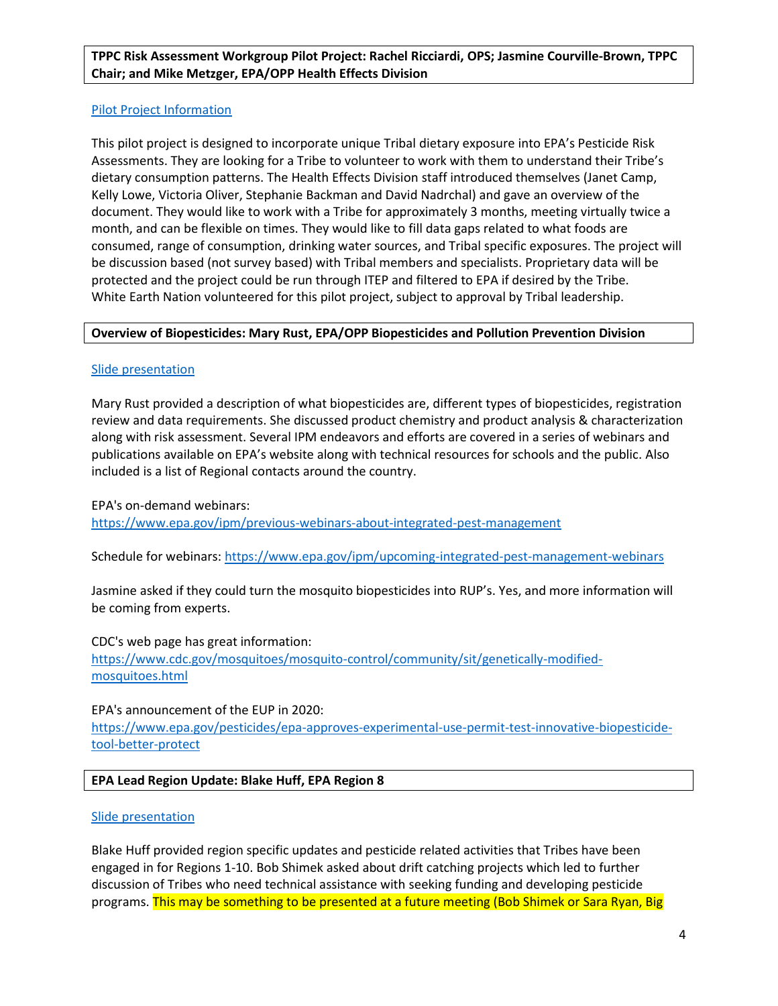## **TPPC Risk Assessment Workgroup Pilot Project: Rachel Ricciardi, OPS; Jasmine Courville-Brown, TPPC Chair; and Mike Metzger, EPA/OPP Health Effects Division**

## [Pilot Project Information](https://tppcwebsite.org/wp-content/uploads/2022/05/EPA-TPPC-Pilot-Project_Tribal-Dietary-Exposure-to-Pesticides.pdf)

This pilot project is designed to incorporate unique Tribal dietary exposure into EPA's Pesticide Risk Assessments. They are looking for a Tribe to volunteer to work with them to understand their Tribe's dietary consumption patterns. The Health Effects Division staff introduced themselves (Janet Camp, Kelly Lowe, Victoria Oliver, Stephanie Backman and David Nadrchal) and gave an overview of the document. They would like to work with a Tribe for approximately 3 months, meeting virtually twice a month, and can be flexible on times. They would like to fill data gaps related to what foods are consumed, range of consumption, drinking water sources, and Tribal specific exposures. The project will be discussion based (not survey based) with Tribal members and specialists. Proprietary data will be protected and the project could be run through ITEP and filtered to EPA if desired by the Tribe. White Earth Nation volunteered for this pilot project, subject to approval by Tribal leadership.

#### **Overview of Biopesticides: Mary Rust, EPA/OPP Biopesticides and Pollution Prevention Division**

#### [Slide presentation](https://tppcwebsite.org/wp-content/uploads/2022/04/2022-4-19-BPPD-Overview-for-TPPC.pdf)

Mary Rust provided a description of what biopesticides are, different types of biopesticides, registration review and data requirements. She discussed product chemistry and product analysis & characterization along with risk assessment. Several IPM endeavors and efforts are covered in a series of webinars and publications available on EPA's website along with technical resources for schools and the public. Also included is a list of Regional contacts around the country.

#### EPA's on-demand webinars:

<https://www.epa.gov/ipm/previous-webinars-about-integrated-pest-management>

Schedule for webinars[: https://www.epa.gov/ipm/upcoming-integrated-pest-management-webinars](https://www.epa.gov/ipm/upcoming-integrated-pest-management-webinars)

Jasmine asked if they could turn the mosquito biopesticides into RUP's. Yes, and more information will be coming from experts.

#### CDC's web page has great information:

[https://www.cdc.gov/mosquitoes/mosquito-control/community/sit/genetically-modified](https://www.cdc.gov/mosquitoes/mosquito-control/community/sit/genetically-modified-mosquitoes.html)[mosquitoes.html](https://www.cdc.gov/mosquitoes/mosquito-control/community/sit/genetically-modified-mosquitoes.html)

#### EPA's announcement of the EUP in 2020:

[https://www.epa.gov/pesticides/epa-approves-experimental-use-permit-test-innovative-biopesticide](https://www.epa.gov/pesticides/epa-approves-experimental-use-permit-test-innovative-biopesticide-tool-better-protect)[tool-better-protect](https://www.epa.gov/pesticides/epa-approves-experimental-use-permit-test-innovative-biopesticide-tool-better-protect) 

## **EPA Lead Region Update: Blake Huff, EPA Region 8**

#### [Slide presentation](https://tppcwebsite.org/wp-content/uploads/2022/04/TPPC-EPA-Regional-Update-Spring-2022.pdf)

Blake Huff provided region specific updates and pesticide related activities that Tribes have been engaged in for Regions 1-10. Bob Shimek asked about drift catching projects which led to further discussion of Tribes who need technical assistance with seeking funding and developing pesticide programs. This may be something to be presented at a future meeting (Bob Shimek or Sara Ryan, Big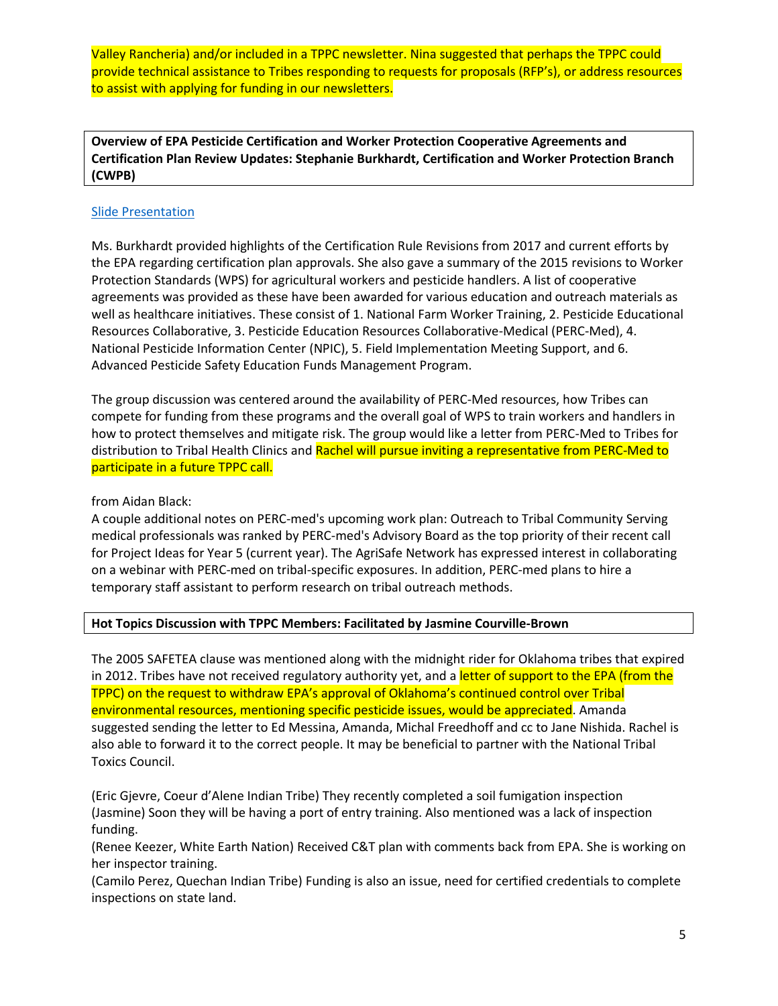Valley Rancheria) and/or included in a TPPC newsletter. Nina suggested that perhaps the TPPC could provide technical assistance to Tribes responding to requests for proposals (RFP's), or address resources to assist with applying for funding in our newsletters.

**Overview of EPA Pesticide Certification and Worker Protection Cooperative Agreements and Certification Plan Review Updates: Stephanie Burkhardt, Certification and Worker Protection Branch (CWPB)**

#### [Slide Presentation](https://tppcwebsite.org/wp-content/uploads/2022/04/CWPB-Updates-and-Cooperative-Agreements_Apr-2022.pdf)

Ms. Burkhardt provided highlights of the Certification Rule Revisions from 2017 and current efforts by the EPA regarding certification plan approvals. She also gave a summary of the 2015 revisions to Worker Protection Standards (WPS) for agricultural workers and pesticide handlers. A list of cooperative agreements was provided as these have been awarded for various education and outreach materials as well as healthcare initiatives. These consist of 1. National Farm Worker Training, 2. Pesticide Educational Resources Collaborative, 3. Pesticide Education Resources Collaborative-Medical (PERC-Med), 4. National Pesticide Information Center (NPIC), 5. Field Implementation Meeting Support, and 6. Advanced Pesticide Safety Education Funds Management Program.

The group discussion was centered around the availability of PERC-Med resources, how Tribes can compete for funding from these programs and the overall goal of WPS to train workers and handlers in how to protect themselves and mitigate risk. The group would like a letter from PERC-Med to Tribes for distribution to Tribal Health Clinics and Rachel will pursue inviting a representative from PERC-Med to participate in a future TPPC call.

from Aidan Black:

A couple additional notes on PERC-med's upcoming work plan: Outreach to Tribal Community Serving medical professionals was ranked by PERC-med's Advisory Board as the top priority of their recent call for Project Ideas for Year 5 (current year). The AgriSafe Network has expressed interest in collaborating on a webinar with PERC-med on tribal-specific exposures. In addition, PERC-med plans to hire a temporary staff assistant to perform research on tribal outreach methods.

## **Hot Topics Discussion with TPPC Members: Facilitated by Jasmine Courville-Brown**

The 2005 SAFETEA clause was mentioned along with the midnight rider for Oklahoma tribes that expired in 2012. Tribes have not received regulatory authority yet, and a letter of support to the EPA (from the TPPC) on the request to withdraw EPA's approval of Oklahoma's continued control over Tribal environmental resources, mentioning specific pesticide issues, would be appreciated. Amanda suggested sending the letter to Ed Messina, Amanda, Michal Freedhoff and cc to Jane Nishida. Rachel is also able to forward it to the correct people. It may be beneficial to partner with the National Tribal Toxics Council.

(Eric Gjevre, Coeur d'Alene Indian Tribe) They recently completed a soil fumigation inspection (Jasmine) Soon they will be having a port of entry training. Also mentioned was a lack of inspection funding.

(Renee Keezer, White Earth Nation) Received C&T plan with comments back from EPA. She is working on her inspector training.

(Camilo Perez, Quechan Indian Tribe) Funding is also an issue, need for certified credentials to complete inspections on state land.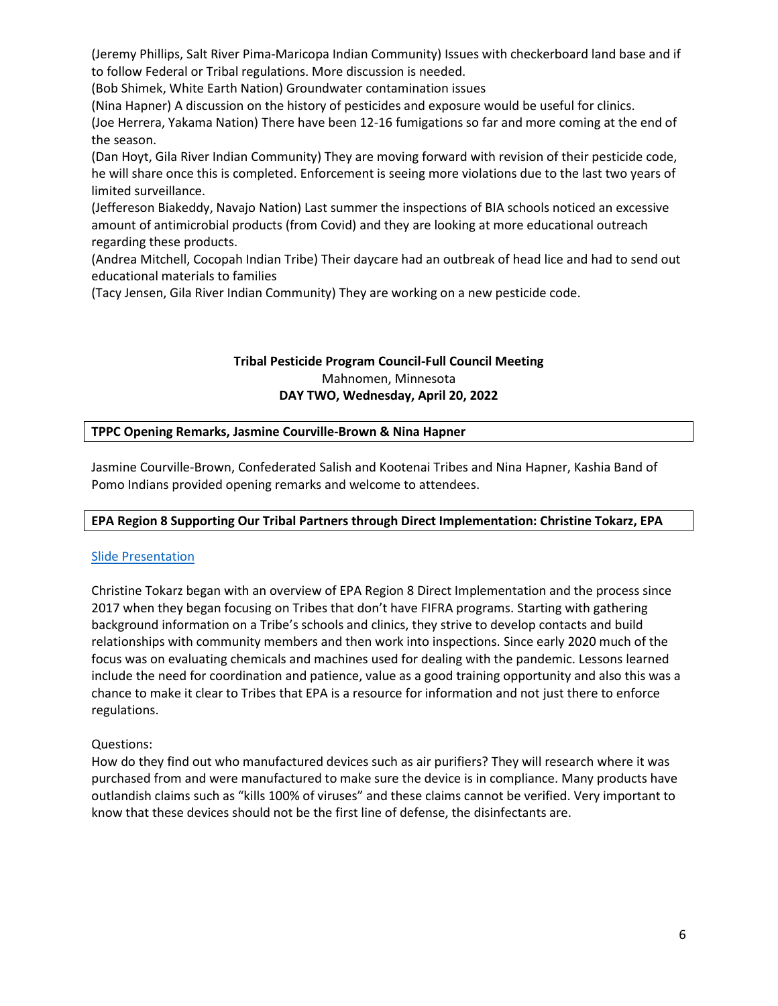(Jeremy Phillips, Salt River Pima-Maricopa Indian Community) Issues with checkerboard land base and if to follow Federal or Tribal regulations. More discussion is needed.

(Bob Shimek, White Earth Nation) Groundwater contamination issues

(Nina Hapner) A discussion on the history of pesticides and exposure would be useful for clinics. (Joe Herrera, Yakama Nation) There have been 12-16 fumigations so far and more coming at the end of the season.

(Dan Hoyt, Gila River Indian Community) They are moving forward with revision of their pesticide code, he will share once this is completed. Enforcement is seeing more violations due to the last two years of limited surveillance.

(Jeffereson Biakeddy, Navajo Nation) Last summer the inspections of BIA schools noticed an excessive amount of antimicrobial products (from Covid) and they are looking at more educational outreach regarding these products.

(Andrea Mitchell, Cocopah Indian Tribe) Their daycare had an outbreak of head lice and had to send out educational materials to families

(Tacy Jensen, Gila River Indian Community) They are working on a new pesticide code.

# **Tribal Pesticide Program Council-Full Council Meeting** Mahnomen, Minnesota **DAY TWO, Wednesday, April 20, 2022**

#### **TPPC Opening Remarks, Jasmine Courville-Brown & Nina Hapner**

Jasmine Courville-Brown, Confederated Salish and Kootenai Tribes and Nina Hapner, Kashia Band of Pomo Indians provided opening remarks and welcome to attendees.

## **EPA Region 8 Supporting Our Tribal Partners through Direct Implementation: Christine Tokarz, EPA**

## [Slide Presentation](https://tppcwebsite.org/wp-content/uploads/2022/04/Region-8-Direct-Implementation-Support-for-Tribes-4.20.22.pdf)

Christine Tokarz began with an overview of EPA Region 8 Direct Implementation and the process since 2017 when they began focusing on Tribes that don't have FIFRA programs. Starting with gathering background information on a Tribe's schools and clinics, they strive to develop contacts and build relationships with community members and then work into inspections. Since early 2020 much of the focus was on evaluating chemicals and machines used for dealing with the pandemic. Lessons learned include the need for coordination and patience, value as a good training opportunity and also this was a chance to make it clear to Tribes that EPA is a resource for information and not just there to enforce regulations.

## Questions:

How do they find out who manufactured devices such as air purifiers? They will research where it was purchased from and were manufactured to make sure the device is in compliance. Many products have outlandish claims such as "kills 100% of viruses" and these claims cannot be verified. Very important to know that these devices should not be the first line of defense, the disinfectants are.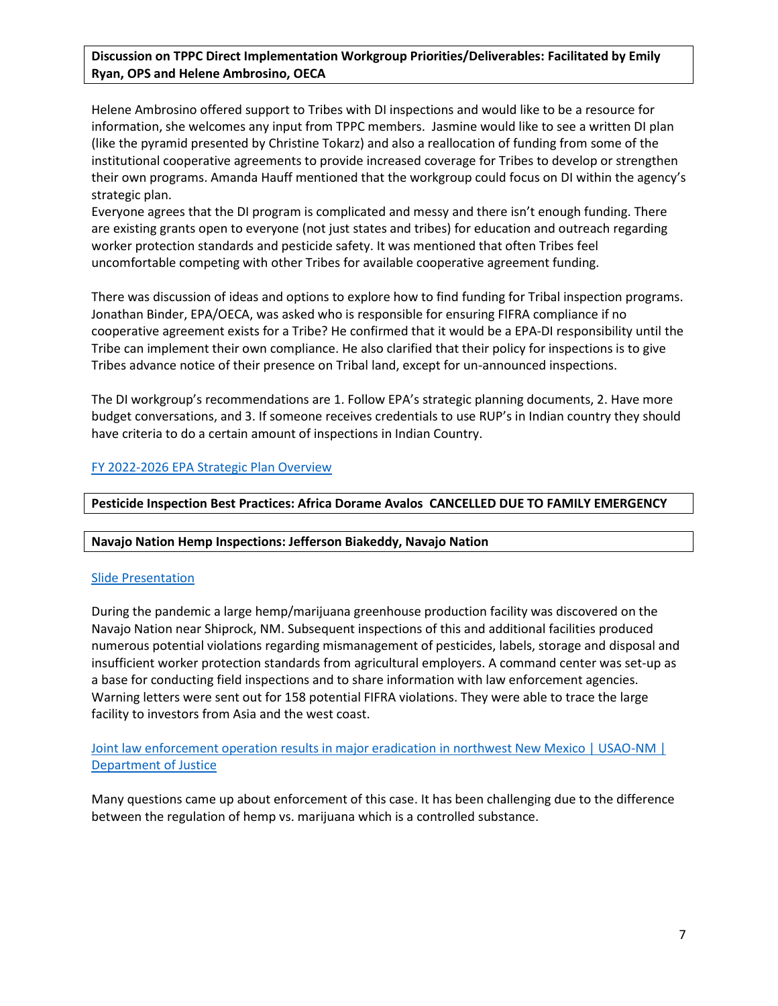# **Discussion on TPPC Direct Implementation Workgroup Priorities/Deliverables: Facilitated by Emily Ryan, OPS and Helene Ambrosino, OECA**

Helene Ambrosino offered support to Tribes with DI inspections and would like to be a resource for information, she welcomes any input from TPPC members. Jasmine would like to see a written DI plan (like the pyramid presented by Christine Tokarz) and also a reallocation of funding from some of the institutional cooperative agreements to provide increased coverage for Tribes to develop or strengthen their own programs. Amanda Hauff mentioned that the workgroup could focus on DI within the agency's strategic plan.

Everyone agrees that the DI program is complicated and messy and there isn't enough funding. There are existing grants open to everyone (not just states and tribes) for education and outreach regarding worker protection standards and pesticide safety. It was mentioned that often Tribes feel uncomfortable competing with other Tribes for available cooperative agreement funding.

There was discussion of ideas and options to explore how to find funding for Tribal inspection programs. Jonathan Binder, EPA/OECA, was asked who is responsible for ensuring FIFRA compliance if no cooperative agreement exists for a Tribe? He confirmed that it would be a EPA-DI responsibility until the Tribe can implement their own compliance. He also clarified that their policy for inspections is to give Tribes advance notice of their presence on Tribal land, except for un-announced inspections.

The DI workgroup's recommendations are 1. Follow EPA's strategic planning documents, 2. Have more budget conversations, and 3. If someone receives credentials to use RUP's in Indian country they should have criteria to do a certain amount of inspections in Indian Country.

# [FY 2022-2026 EPA Strategic Plan Overview](https://www.epa.gov/system/files/documents/2022-03/fy-2022-2026-epa-strategic-plan-overview.pdf#:~:text=EPA%20programs%20with%20direct%20implementation%20authority%20will%20take,will%20have%20foundational%20civil%20rights%20programs%20in%20place)

**Pesticide Inspection Best Practices: Africa Dorame Avalos CANCELLED DUE TO FAMILY EMERGENCY**

## **Navajo Nation Hemp Inspections: Jefferson Biakeddy, Navajo Nation**

## [Slide Presentation](https://tppcwebsite.org/wp-content/uploads/2022/04/2020-NNEPA-SR.Hemp-Investigations.pdf)

During the pandemic a large hemp/marijuana greenhouse production facility was discovered on the Navajo Nation near Shiprock, NM. Subsequent inspections of this and additional facilities produced numerous potential violations regarding mismanagement of pesticides, labels, storage and disposal and insufficient worker protection standards from agricultural employers. A command center was set-up as a base for conducting field inspections and to share information with law enforcement agencies. Warning letters were sent out for 158 potential FIFRA violations. They were able to trace the large facility to investors from Asia and the west coast.

# [Joint law enforcement operation results in major eradication in northwest New Mexico | USAO-NM |](https://www.justice.gov/usao-nm/pr/joint-law-enforcement-operation-results-major-eradication-northwest-new-mexico)  [Department of Justice](https://www.justice.gov/usao-nm/pr/joint-law-enforcement-operation-results-major-eradication-northwest-new-mexico)

Many questions came up about enforcement of this case. It has been challenging due to the difference between the regulation of hemp vs. marijuana which is a controlled substance.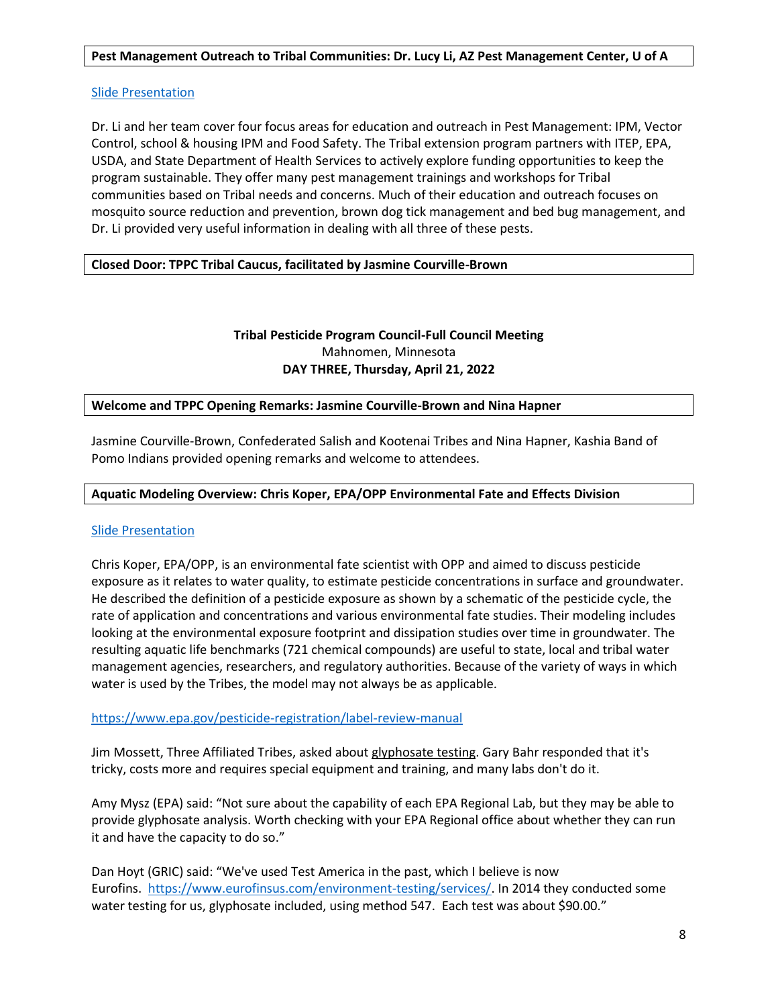#### **Pest Management Outreach to Tribal Communities: Dr. Lucy Li, AZ Pest Management Center, U of A**

#### [Slide Presentation](https://tppcwebsite.org/wp-content/uploads/2022/04/042022-Li-Outreach-Revised.pdf)

Dr. Li and her team cover four focus areas for education and outreach in Pest Management: IPM, Vector Control, school & housing IPM and Food Safety. The Tribal extension program partners with ITEP, EPA, USDA, and State Department of Health Services to actively explore funding opportunities to keep the program sustainable. They offer many pest management trainings and workshops for Tribal communities based on Tribal needs and concerns. Much of their education and outreach focuses on mosquito source reduction and prevention, brown dog tick management and bed bug management, and Dr. Li provided very useful information in dealing with all three of these pests.

## **Closed Door: TPPC Tribal Caucus, facilitated by Jasmine Courville-Brown**

# **Tribal Pesticide Program Council-Full Council Meeting** Mahnomen, Minnesota **DAY THREE, Thursday, April 21, 2022**

#### **Welcome and TPPC Opening Remarks: Jasmine Courville-Brown and Nina Hapner**

Jasmine Courville-Brown, Confederated Salish and Kootenai Tribes and Nina Hapner, Kashia Band of Pomo Indians provided opening remarks and welcome to attendees.

#### **Aquatic Modeling Overview: Chris Koper, EPA/OPP Environmental Fate and Effects Division**

#### [Slide Presentation](https://tppcwebsite.org/wp-content/uploads/2022/04/Aquatic-Modeling-Overview-04-21-22.pdf)

Chris Koper, EPA/OPP, is an environmental fate scientist with OPP and aimed to discuss pesticide exposure as it relates to water quality, to estimate pesticide concentrations in surface and groundwater. He described the definition of a pesticide exposure as shown by a schematic of the pesticide cycle, the rate of application and concentrations and various environmental fate studies. Their modeling includes looking at the environmental exposure footprint and dissipation studies over time in groundwater. The resulting aquatic life benchmarks (721 chemical compounds) are useful to state, local and tribal water management agencies, researchers, and regulatory authorities. Because of the variety of ways in which water is used by the Tribes, the model may not always be as applicable.

#### <https://www.epa.gov/pesticide-registration/label-review-manual>

Jim Mossett, Three Affiliated Tribes, asked about glyphosate testing. Gary Bahr responded that it's tricky, costs more and requires special equipment and training, and many labs don't do it.

Amy Mysz (EPA) said: "Not sure about the capability of each EPA Regional Lab, but they may be able to provide glyphosate analysis. Worth checking with your EPA Regional office about whether they can run it and have the capacity to do so."

Dan Hoyt (GRIC) said: "We've used Test America in the past, which I believe is now Eurofins. [https://www.eurofinsus.com/environment-testing/services/.](https://www.eurofinsus.com/environment-testing/services/) In 2014 they conducted some water testing for us, glyphosate included, using method 547. Each test was about \$90.00."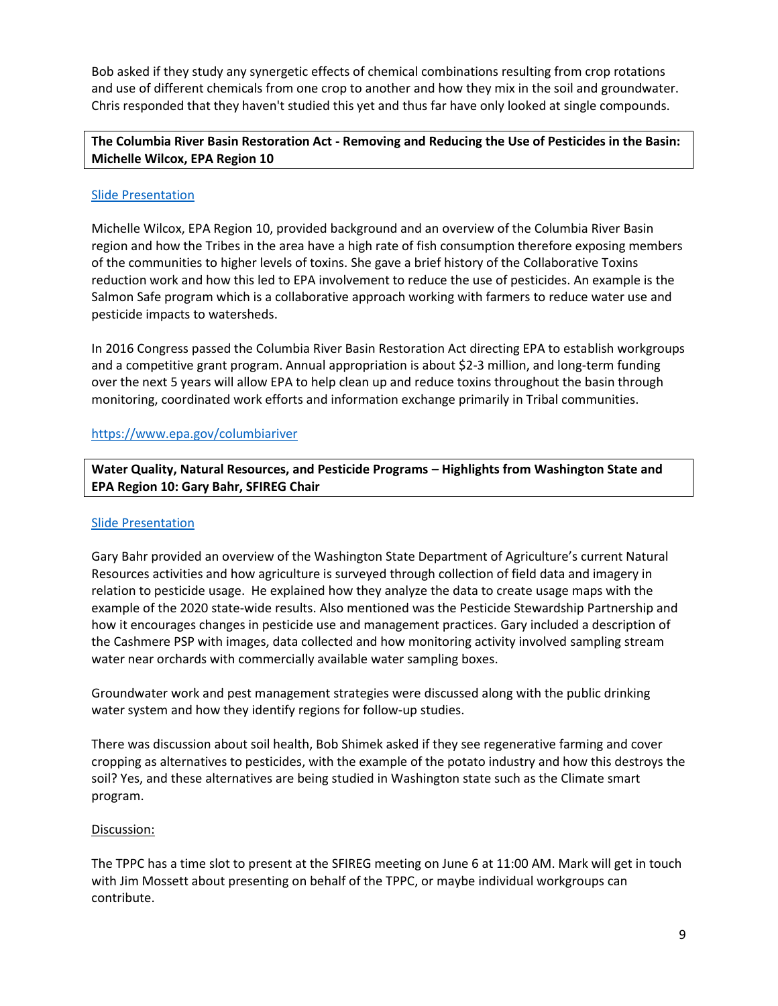Bob asked if they study any synergetic effects of chemical combinations resulting from crop rotations and use of different chemicals from one crop to another and how they mix in the soil and groundwater. Chris responded that they haven't studied this yet and thus far have only looked at single compounds.

# **The Columbia River Basin Restoration Act - Removing and Reducing the Use of Pesticides in the Basin: Michelle Wilcox, EPA Region 10**

## [Slide Presentation](https://tppcwebsite.org/wp-content/uploads/2022/04/Region-10-Columbia-River-Basin-Restoration-Program-4-21-22.pdf)

Michelle Wilcox, EPA Region 10, provided background and an overview of the Columbia River Basin region and how the Tribes in the area have a high rate of fish consumption therefore exposing members of the communities to higher levels of toxins. She gave a brief history of the Collaborative Toxins reduction work and how this led to EPA involvement to reduce the use of pesticides. An example is the Salmon Safe program which is a collaborative approach working with farmers to reduce water use and pesticide impacts to watersheds.

In 2016 Congress passed the Columbia River Basin Restoration Act directing EPA to establish workgroups and a competitive grant program. Annual appropriation is about \$2-3 million, and long-term funding over the next 5 years will allow EPA to help clean up and reduce toxins throughout the basin through monitoring, coordinated work efforts and information exchange primarily in Tribal communities.

# <https://www.epa.gov/columbiariver>

**Water Quality, Natural Resources, and Pesticide Programs – Highlights from Washington State and EPA Region 10: Gary Bahr, SFIREG Chair**

## [Slide Presentation](https://tppcwebsite.org/wp-content/uploads/2022/04/Pesticides-and-Natural-Resources-at-WSDA-for-TPPC_GBahr_April-21_2022.pdf)

Gary Bahr provided an overview of the Washington State Department of Agriculture's current Natural Resources activities and how agriculture is surveyed through collection of field data and imagery in relation to pesticide usage. He explained how they analyze the data to create usage maps with the example of the 2020 state-wide results. Also mentioned was the Pesticide Stewardship Partnership and how it encourages changes in pesticide use and management practices. Gary included a description of the Cashmere PSP with images, data collected and how monitoring activity involved sampling stream water near orchards with commercially available water sampling boxes.

Groundwater work and pest management strategies were discussed along with the public drinking water system and how they identify regions for follow-up studies.

There was discussion about soil health, Bob Shimek asked if they see regenerative farming and cover cropping as alternatives to pesticides, with the example of the potato industry and how this destroys the soil? Yes, and these alternatives are being studied in Washington state such as the Climate smart program.

# Discussion:

The TPPC has a time slot to present at the SFIREG meeting on June 6 at 11:00 AM. Mark will get in touch with Jim Mossett about presenting on behalf of the TPPC, or maybe individual workgroups can contribute.